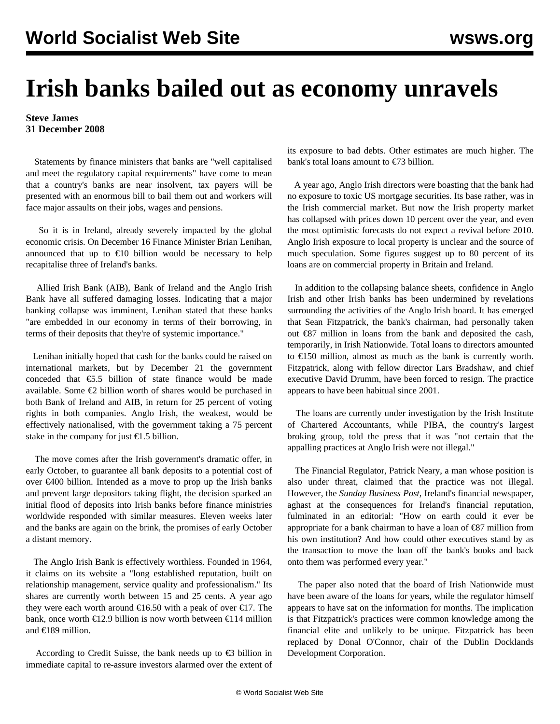## **Irish banks bailed out as economy unravels**

## **Steve James 31 December 2008**

 Statements by finance ministers that banks are "well capitalised and meet the regulatory capital requirements" have come to mean that a country's banks are near insolvent, tax payers will be presented with an enormous bill to bail them out and workers will face major assaults on their jobs, wages and pensions.

 So it is in Ireland, already severely impacted by the global economic crisis. On December 16 Finance Minister Brian Lenihan, announced that up to  $\epsilon$ 10 billion would be necessary to help recapitalise three of Ireland's banks.

 Allied Irish Bank (AIB), Bank of Ireland and the Anglo Irish Bank have all suffered damaging losses. Indicating that a major banking collapse was imminent, Lenihan stated that these banks "are embedded in our economy in terms of their borrowing, in terms of their deposits that they're of systemic importance."

 Lenihan initially hoped that cash for the banks could be raised on international markets, but by December 21 the government conceded that  $\epsilon$ 5.5 billion of state finance would be made available. Some €2 billion worth of shares would be purchased in both Bank of Ireland and AIB, in return for 25 percent of voting rights in both companies. Anglo Irish, the weakest, would be effectively nationalised, with the government taking a 75 percent stake in the company for just  $\epsilon$ 1.5 billion.

 The move comes after the Irish government's dramatic offer, in early October, to guarantee all bank deposits to a potential cost of over €400 billion. Intended as a move to prop up the Irish banks and prevent large depositors taking flight, the decision sparked an initial flood of deposits into Irish banks before finance ministries worldwide responded with similar measures. Eleven weeks later and the banks are again on the brink, the promises of early October a distant memory.

 The Anglo Irish Bank is effectively worthless. Founded in 1964, it claims on its website a "long established reputation, built on relationship management, service quality and professionalism." Its shares are currently worth between 15 and 25 cents. A year ago they were each worth around  $\epsilon$ 16.50 with a peak of over  $\epsilon$ 17. The bank, once worth  $\epsilon$ 12.9 billion is now worth between  $\epsilon$ 114 million and €189 million.

According to Credit Suisse, the bank needs up to  $\epsilon$ 3 billion in immediate capital to re-assure investors alarmed over the extent of

its exposure to bad debts. Other estimates are much higher. The bank's total loans amount to €73 billion.

 A year ago, Anglo Irish directors were boasting that the bank had no exposure to toxic US mortgage securities. Its base rather, was in the Irish commercial market. But now the Irish property market has collapsed with prices down 10 percent over the year, and even the most optimistic forecasts do not expect a revival before 2010. Anglo Irish exposure to local property is unclear and the source of much speculation. Some figures suggest up to 80 percent of its loans are on commercial property in Britain and Ireland.

 In addition to the collapsing balance sheets, confidence in Anglo Irish and other Irish banks has been undermined by revelations surrounding the activities of the Anglo Irish board. It has emerged that Sean Fitzpatrick, the bank's chairman, had personally taken out €87 million in loans from the bank and deposited the cash, temporarily, in Irish Nationwide. Total loans to directors amounted to €150 million, almost as much as the bank is currently worth. Fitzpatrick, along with fellow director Lars Bradshaw, and chief executive David Drumm, have been forced to resign. The practice appears to have been habitual since 2001.

 The loans are currently under investigation by the Irish Institute of Chartered Accountants, while PIBA, the country's largest broking group, told the press that it was "not certain that the appalling practices at Anglo Irish were not illegal."

 The Financial Regulator, Patrick Neary, a man whose position is also under threat, claimed that the practice was not illegal. However, the *Sunday Business Post*, Ireland's financial newspaper, aghast at the consequences for Ireland's financial reputation, fulminated in an editorial: "How on earth could it ever be appropriate for a bank chairman to have a loan of €87 million from his own institution? And how could other executives stand by as the transaction to move the loan off the bank's books and back onto them was performed every year."

 The paper also noted that the board of Irish Nationwide must have been aware of the loans for years, while the regulator himself appears to have sat on the information for months. The implication is that Fitzpatrick's practices were common knowledge among the financial elite and unlikely to be unique. Fitzpatrick has been replaced by Donal O'Connor, chair of the Dublin Docklands Development Corporation.